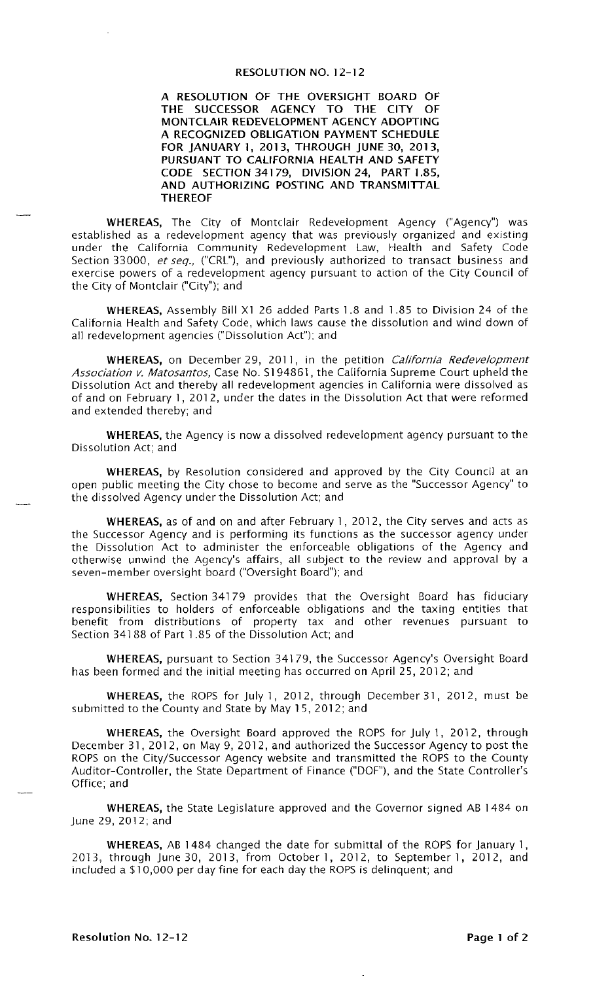#### **RESOLUTION NO. 12-12**

A RESOLUTION OF THE OVERSIGHT BOARD OF THE SUCCESSOR AGENCY TO THE CITY OF MONTCLAIR REDEVELOPMENT AGENCY ADOPTING A RECOGNIZED OBLIGATION PAYMENT SCHEDULE FOR JANUARY 1, 2013, THROUGH JUNE 30, 2013, PURSUANT TO CALIFORNIA HEALTH AND SAFETY CODE SECTION 34179, DIVISION 24, PART 1.85, AND AUTHORIZING POSTING AND TRANSMITTAL **THEREOF** 

WHEREAS, The City of Montclair Redevelopment Agency ("Agency") was established as a redevelopment agency that was previously organized and existing under the California Community Redevelopment Law, Health and Safety Code Section 33000, et seq., ("CRL"), and previously authorized to transact business and exercise powers of a redevelopment agency pursuant to action of the City Council of the City of Montclair ("City"); and

WHEREAS, Assembly Bill X1 26 added Parts 1.8 and 1.85 to Division 24 of the California Health and Safety Code, which laws cause the dissolution and wind down of all redevelopment agencies ("Dissolution Act"); and

WHEREAS, on December 29, 2011, in the petition California Redevelopment Association v. Matosantos, Case No. \$194861, the California Supreme Court upheld the Dissolution Act and thereby all redevelopment agencies in California were dissolved as of and on February 1, 2012, under the dates in the Dissolution Act that were reformed and extended thereby; and

**WHEREAS**, the Agency is now a dissolved redevelopment agency pursuant to the Dissolution Act; and

WHEREAS, by Resolution considered and approved by the City Council at an open public meeting the City chose to become and serve as the "Successor Agency" to the dissolved Agency under the Dissolution Act; and

WHEREAS, as of and on and after February 1, 2012, the City serves and acts as the Successor Agency and is performing its functions as the successor agency under the Dissolution Act to administer the enforceable obligations of the Agency and otherwise unwind the Agency's affairs, all subject to the review and approval by a seven-member oversight board ("Oversight Board"); and

WHEREAS, Section 34179 provides that the Oversight Board has fiduciary responsibilities to holders of enforceable obligations and the taxing entities that benefit from distributions of property tax and other revenues pursuant to Section 34188 of Part 1.85 of the Dissolution Act; and

WHEREAS, pursuant to Section 34179, the Successor Agency's Oversight Board has been formed and the initial meeting has occurred on April 25, 2012; and

WHEREAS, the ROPS for July 1, 2012, through December 31, 2012, must be submitted to the County and State by May 15, 2012; and

WHEREAS, the Oversight Board approved the ROPS for July 1, 2012, through December 31, 2012, on May 9, 2012, and authorized the Successor Agency to post the ROPS on the City/Successor Agency website and transmitted the ROPS to the County Auditor-Controller, the State Department of Finance ("DOF"), and the State Controller's Office; and

WHEREAS, the State Legislature approved and the Governor signed AB 1484 on June 29, 2012; and

WHEREAS, AB 1484 changed the date for submittal of the ROPS for January 1, 2013, through June 30, 2013, from October 1, 2012, to September 1, 2012, and included a \$10,000 per day fine for each day the ROPS is delinquent; and

Resolution No. 12-12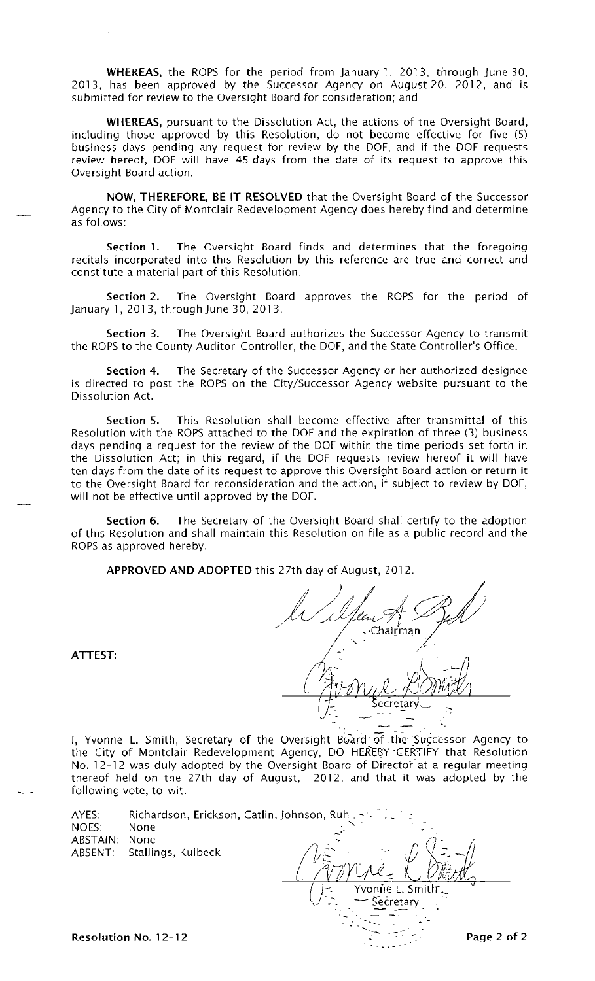WHEREAS, the ROPS for the period from January 1, 2013, through June 30, 2013, has been approved by the Successor Agency on August 20, 2012, and is submitted for review to the Oversight Board for consideration; and

WHEREAS, pursuant to the Dissolution Act, the actions of the Oversight Board, including those approved by this Resolution, do not become effective for five (5) business days pending any request for review by the DOF, and if the DOF requests review hereof, DOF will have 45 days from the date of its request to approve this Oversight Board action.

NOW, THEREFORE, BE IT RESOLVED that the Oversight Board of the Successor Agency to the City of Montclair Redevelopment Agency does hereby find and determine as follows:

The Oversight Board finds and determines that the foregoing Section 1. recitals incorporated into this Resolution by this reference are true and correct and constitute a material part of this Resolution.

Section 2. The Oversight Board approves the ROPS for the period of January 1, 2013, through June 30, 2013.

The Oversight Board authorizes the Successor Agency to transmit Section 3. the ROPS to the County Auditor-Controller, the DOF, and the State Controller's Office.

Section 4. The Secretary of the Successor Agency or her authorized designee is directed to post the ROPS on the City/Successor Agency website pursuant to the Dissolution Act.

This Resolution shall become effective after transmittal of this Section 5. Resolution with the ROPS attached to the DOF and the expiration of three (3) business days pending a request for the review of the DOF within the time periods set forth in the Dissolution Act; in this regard, if the DOF requests review hereof it will have ten days from the date of its request to approve this Oversight Board action or return it to the Oversight Board for reconsideration and the action, if subject to review by DOF, will not be effective until approved by the DOF.

The Secretary of the Oversight Board shall certify to the adoption Section 6. of this Resolution and shall maintain this Resolution on file as a public record and the ROPS as approved hereby.

APPROVED AND ADOPTED this 27th day of August, 2012.

·Chai<u>r</u>man Secretary

 $\pm\gamma\pi$ 

I, Yvonne L. Smith, Secretary of the Oversight Board of the Successor Agency to the City of Montclair Redevelopment Agency, DO HEREBY CERTIFY that Resolution No. 12-12 was duly adopted by the Oversight Board of Director at a regular meeting thereof held on the 27th day of August, 2012, and that it was adopted by the following vote, to-wit:

| AYES:<br>NOES: | Richardson, Erickson, Catlin, Johnson, Ruh. -<br>None |                  |
|----------------|-------------------------------------------------------|------------------|
| ABSTAIN:       | None                                                  |                  |
|                | ABSENT: Stallings, Kulbeck                            |                  |
|                |                                                       | Yvonne L. Smith. |
|                |                                                       |                  |

ATTEST:

Resolution No. 12-12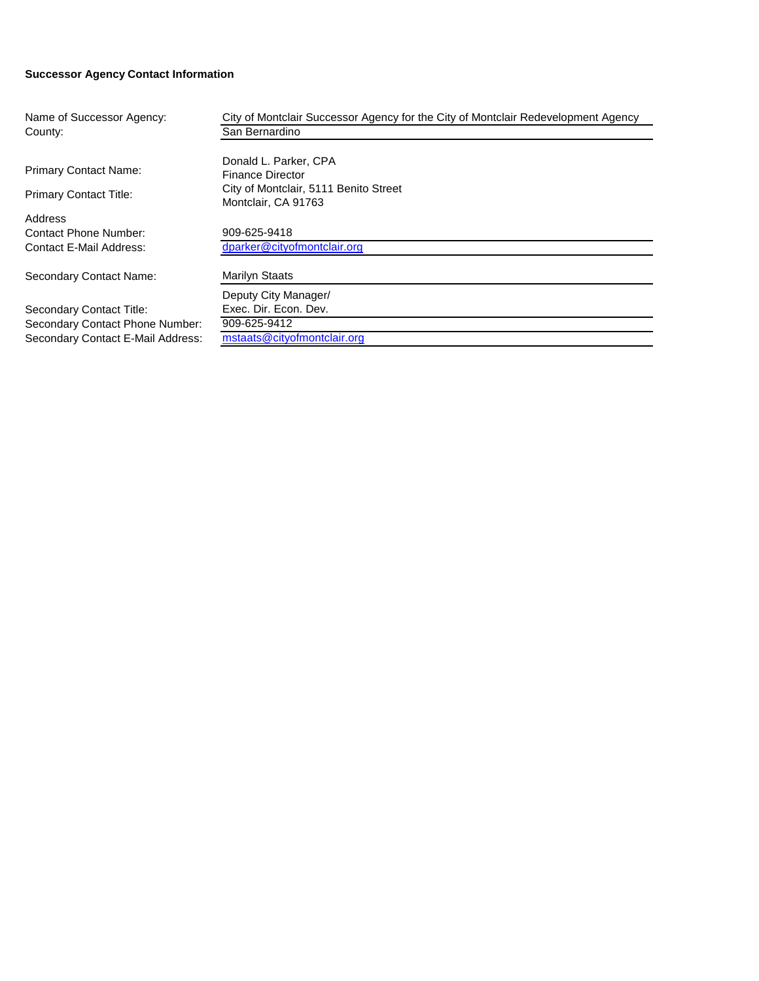#### **Successor Agency Contact Information**

| Name of Successor Agency:         | City of Montclair Successor Agency for the City of Montclair Redevelopment Agency |
|-----------------------------------|-----------------------------------------------------------------------------------|
| County:                           | San Bernardino                                                                    |
|                                   |                                                                                   |
| <b>Primary Contact Name:</b>      | Donald L. Parker, CPA                                                             |
|                                   | <b>Finance Director</b>                                                           |
| <b>Primary Contact Title:</b>     | City of Montclair, 5111 Benito Street                                             |
|                                   | Montclair, CA 91763                                                               |
| Address                           |                                                                                   |
| Contact Phone Number:             | 909-625-9418                                                                      |
| Contact E-Mail Address:           | dparker@cityofmontclair.org                                                       |
|                                   | <b>Marilyn Staats</b>                                                             |
| Secondary Contact Name:           |                                                                                   |
|                                   | Deputy City Manager/                                                              |
| Secondary Contact Title:          | Exec. Dir. Econ. Dev.                                                             |
| Secondary Contact Phone Number:   | 909-625-9412                                                                      |
| Secondary Contact E-Mail Address: | mstaats@cityofmontclair.org                                                       |
|                                   |                                                                                   |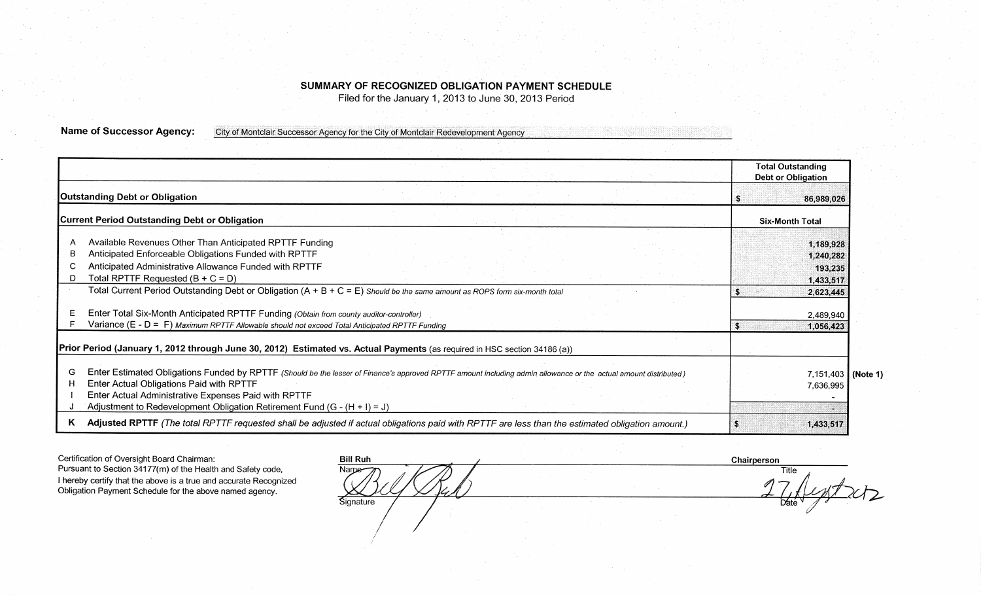# SUMMARY OF RECOGNIZED OBLIGATION PAYMENT SCHEDULE

Filed for the January 1, 2013 to June 30, 2013 Period

**Name of Successor Agency:** City of Montclair Successor Agency for the City of Montclair Redevelopment Agency

|                                                                                                                                                                                                                                                                                                                                                              | <b>Total Outstanding</b><br><b>Debt or Obligation</b> |
|--------------------------------------------------------------------------------------------------------------------------------------------------------------------------------------------------------------------------------------------------------------------------------------------------------------------------------------------------------------|-------------------------------------------------------|
| <b>Outstanding Debt or Obligation</b>                                                                                                                                                                                                                                                                                                                        | 86,989,026                                            |
| <b>Current Period Outstanding Debt or Obligation</b>                                                                                                                                                                                                                                                                                                         | <b>Six-Month Total</b>                                |
| Available Revenues Other Than Anticipated RPTTF Funding<br>Anticipated Enforceable Obligations Funded with RPTTF<br>в<br>Anticipated Administrative Allowance Funded with RPTTF<br>Total RPTTF Requested $(B + C = D)$<br>Total Current Period Outstanding Debt or Obligation $(A + B + C = E)$ Should be the same amount as ROPS form six-month total       | 1,189,928<br>1,240,282<br>193,235<br>1,433,517        |
| Enter Total Six-Month Anticipated RPTTF Funding (Obtain from county auditor-controller)<br>Variance (E - D = F) Maximum RPTTF Allowable should not exceed Total Anticipated RPTTF Funding                                                                                                                                                                    | 2,623,445<br>2,489,940<br>-S<br>1,056,423             |
| Prior Period (January 1, 2012 through June 30, 2012) Estimated vs. Actual Payments (as required in HSC section 34186 (a))                                                                                                                                                                                                                                    |                                                       |
| Enter Estimated Obligations Funded by RPTTF (Should be the lesser of Finance's approved RPTTF amount including admin allowance or the actual amount distributed)<br>G<br>Enter Actual Obligations Paid with RPTTF<br>н<br>Enter Actual Administrative Expenses Paid with RPTTF<br>Adjustment to Redevelopment Obligation Retirement Fund $(G - (H + I) = J)$ | $7,151,403$ (Note 1)<br>7,636,995                     |
| Adjusted RPTTF (The total RPTTF requested shall be adjusted if actual obligations paid with RPTTF are less than the estimated obligation amount.)<br>ĸ                                                                                                                                                                                                       | 1,433,517                                             |

Certification of Oversight Board Chairman: Pursuant to Section 34177(m) of the Health and Safety code, I hereby certify that the above is a true and accurate Recognized Obligation Payment Schedule for the above named agency.

| <b>Bill Ruh</b> | $\sim$<br>$\sim$ |  |
|-----------------|------------------|--|
| Name            |                  |  |
| Signature<br>÷. | ×.<br>٠<br>٠     |  |

Chairperson Title  $242$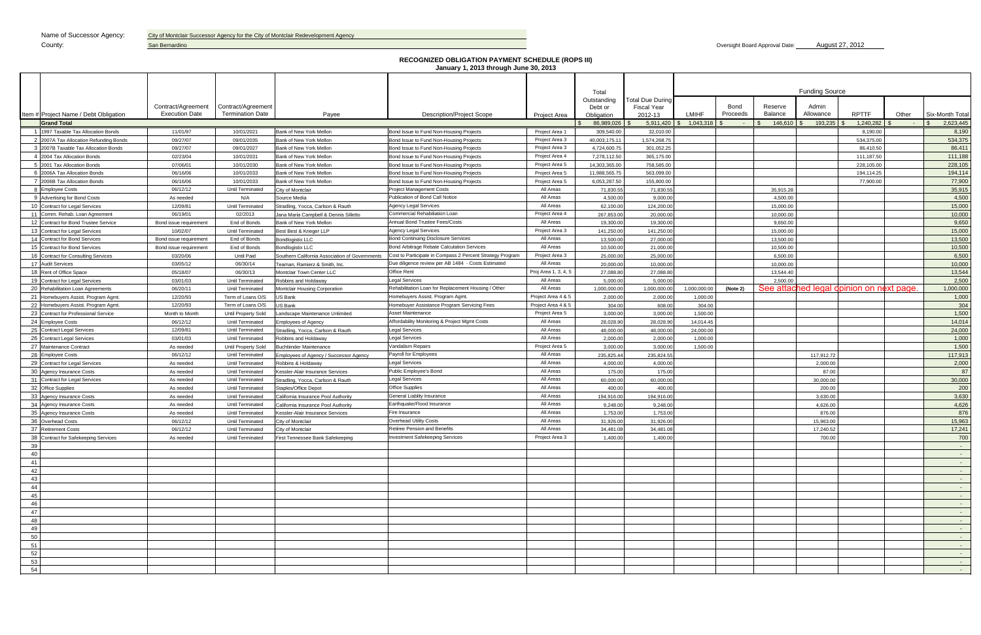San Bernardino

| County:                                | San Bernardino         |                         |                                                |                                                                                                   |                      |                        |                    |                                 |          | Oversight Board Approval Date: |                       | August 27, 2012                          |            |                                   |
|----------------------------------------|------------------------|-------------------------|------------------------------------------------|---------------------------------------------------------------------------------------------------|----------------------|------------------------|--------------------|---------------------------------|----------|--------------------------------|-----------------------|------------------------------------------|------------|-----------------------------------|
|                                        |                        |                         |                                                |                                                                                                   |                      |                        |                    |                                 |          |                                |                       |                                          |            |                                   |
|                                        |                        |                         |                                                | <b>RECOGNIZED OBLIGATION PAYMENT SCHEDULE (ROPS III)</b><br>January 1, 2013 through June 30, 2013 |                      |                        |                    |                                 |          |                                |                       |                                          |            |                                   |
|                                        |                        |                         |                                                |                                                                                                   |                      |                        |                    |                                 |          |                                |                       |                                          |            |                                   |
|                                        |                        |                         |                                                |                                                                                                   |                      |                        |                    |                                 |          |                                |                       |                                          |            |                                   |
|                                        |                        |                         |                                                |                                                                                                   |                      | Total                  | Total Due During   |                                 |          |                                | <b>Funding Source</b> |                                          |            |                                   |
|                                        | Contract/Agreement     | Contract/Agreement      |                                                |                                                                                                   |                      | Outstanding<br>Debt or | <b>Fiscal Year</b> |                                 | Bond     | Reserve                        | Admin                 |                                          |            |                                   |
| Item # Project Name / Debt Obligation  | <b>Execution Date</b>  | <b>Termination Date</b> | Payee                                          | <b>Description/Project Scope</b>                                                                  | Project Area         | Obligation             | 2012-13            | <b>LMIHF</b>                    | Proceeds | <b>Balance</b>                 | Allowance             | <b>RPTTF</b>                             | Other      | Six-Month Total                   |
| <b>Grand Total</b>                     |                        |                         |                                                |                                                                                                   |                      | 86,989,026             | 5,911,420          | $1,043,318$ \$<br>$\mathcal{S}$ | œ        | 146,610                        | 193,235               | 1,240,282                                | $\sim 100$ | 2,623,445                         |
| 1 1997 Taxable Tax Allocation Bonds    | 11/01/97               | 10/01/2021              | Bank of New York Mellon                        | Bond Issue to Fund Non-Housing Projects                                                           | Project Area 1       | 309,540.00             | 32,010.00          |                                 |          |                                |                       | 8,190.00                                 |            | 8,190                             |
| 2 2007A Tax Allocation Refunding Bonds | 09/27/07               | 09/01/2035              | Bank of New York Mellon                        | Bond Issue to Fund Non-Housing Projects                                                           | Project Area 3       | 40,003,175.11          | 1,574,268.75       |                                 |          |                                |                       | 534,375.00                               |            | 534,375                           |
| 3 2007B Taxable Tax Allocation Bonds   | 09/27/07               | 09/01/2027              | Bank of New York Mellon                        | Bond Issue to Fund Non-Housing Projects                                                           | Project Area 3       | 4,724,600.75           | 301,052.25         |                                 |          |                                |                       | 86.410.50                                |            | 86,411                            |
| 4 2004 Tax Allocation Bonds            | 02/23/04               | 10/01/2031              | Bank of New York Mellon                        | Bond Issue to Fund Non-Housing Projects                                                           | Project Area 4       | 7,278,112.50           | 365,175.00         |                                 |          |                                |                       | 111,187.50                               |            | 111,188                           |
| 5 2001 Tax Allocation Bonds            | 07/06/01               | 10/01/2030              | Bank of New York Mellon                        | Bond Issue to Fund Non-Housing Projects                                                           | Project Area 5       | 14.303.365.00          | 758.585.00         |                                 |          |                                |                       | 228.105.00                               |            | 228,105                           |
| 6 2006A Tax Allocation Bonds           | 06/16/06               | 10/01/2033              | Bank of New York Mellon                        | Bond Issue to Fund Non-Housing Projects                                                           | Project Area 5       | 11,988,565.75          | 563.099.00         |                                 |          |                                |                       | 194,114.25                               |            | 194,114                           |
| 7 2006B Tax Allocation Bonds           | 06/16/06               | 10/01/2033              | Bank of New York Mellon                        | Bond Issue to Fund Non-Housing Projects                                                           | Project Area 5       | 6,053,287.50           | 155,800.00         |                                 |          |                                |                       | 77,900.00                                |            | 77,900                            |
| 8 Employee Costs                       | 06/12/12               | Until Terminated        | City of Montclair                              | <b>Project Management Costs</b>                                                                   | All Areas            | 71,830.55              | 71,830.55          |                                 |          | 35.915.28                      |                       |                                          |            | 35,915                            |
| 9 Advertising for Bond Costs           | As needed              | N/A                     | Source Media                                   | Publication of Bond Call Notice                                                                   | All Areas            | 4,500.00               | 9,000.00           |                                 |          | 4,500.00                       |                       |                                          |            | 4,500                             |
| 10 Contract for Legal Services         | 12/09/81               | Until Terminated        | Stradling, Yocca, Carlson & Rauth              | <b>Agency Legal Services</b>                                                                      | All Areas            | 62,100.00              | 124,200.00         |                                 |          | 15,000.00                      |                       |                                          |            | 15,000                            |
| 11 Comm. Rehab. Loan Agreement         | 06/19/01               | 02/2013                 | Jana Maria Campbell & Dennis Silletto          | <b>Commercial Rehabiliation Loan</b>                                                              | Project Area 4       | 267,853.00             | 20,000.00          |                                 |          | 10,000.00                      |                       |                                          |            | 10,000                            |
| 12 Contract for Bond Trustee Service   | Bond issue requirement | End of Bonds            | Bank of New York Mellon                        | Annual Bond Trustee Fees/Costs                                                                    | All Areas            | 19,300.00              | 19,300.00          |                                 |          | 9.650.00                       |                       |                                          |            | 9,650                             |
| 13 Contract for Legal Services         | 10/02/07               | Until Terminated        | Best Best & Krieger LLP                        | <b>Agency Legal Services</b>                                                                      | Project Area 3       | 141,250.00             | 141,250.00         |                                 |          | 15,000.00                      |                       |                                          |            | 15,000                            |
| 14 Contract for Bond Services          | Bond issue requirement | End of Bonds            | Bondlogistix LLC                               | <b>Bond Continuing Disclosure Services</b>                                                        | All Areas            | 13,500.00              | 27,000.00          |                                 |          | 13,500.00                      |                       |                                          |            | 13,500                            |
| 15 Contract for Bond Services          | Bond issue requirement | End of Bonds            | <b>Bondlogistix LLC</b>                        | <b>Bond Arbitrage Rebate Calculation Services</b>                                                 | All Areas            | 10.500.00              | 21.000.00          |                                 |          | 10.500.00                      |                       |                                          |            | 10,500                            |
| 16 Contract for Consulting Services    | 03/20/06               | <b>Until Paid</b>       | Southern California Association of Governments | Cost to Participate in Compass 2 Percent Strategy Program                                         | Project Area 3       | 25,000.00              | 25,000.00          |                                 |          | 6,500.00                       |                       |                                          |            | 6,500                             |
| 17 Audit Services                      | 03/05/12               | 06/30/14                | Teaman, Ramierz & Smith, Inc.                  | Due diligence review per AB 1484 - Costs Estimated                                                | All Areas            | 20,000.00              | 10,000.00          |                                 |          | 10.000.00                      |                       |                                          |            | 10,000                            |
| 18 Rent of Office Space                | 05/18/07               | 06/30/13                | Montclair Town Center LLC                      | Office Rent                                                                                       | Proj Area 1, 3, 4, 5 | 27,088.80              | 27,088.80          |                                 |          | 13,544.40                      |                       |                                          |            | 13,544                            |
| 19 Contract for Legal Services         | 03/01/03               | Until Terminated        | Robbins and Holdaway                           | <b>Legal Services</b>                                                                             | All Areas            | 5,000.00               | 5,000.00           |                                 |          | 2.500.00                       |                       |                                          |            | 2,500                             |
| 20 Rehabilitation Loan Agreements      | 06/20/11               | Until Terminated        | Montclair Housing Corporation                  | Rehabilitation Loan for Replacement Housing / Other                                               | All Areas            | 1,000,000.00           | 1,000,000.00       | 1,000,000.00                    | (Note 2) |                                |                       | See attached legal opinion on next page. |            | 1,000,000                         |
| 21 Homebuyers Assist. Program Agmt.    | 12/20/93               | Term of Loans O/S       | S Bank                                         | Homebuyers Assist. Program Agmt                                                                   | Project Area 4 & 5   | 2,000.00               | 2,000.00           | 1,000.00                        |          |                                |                       |                                          |            | 1,000                             |
| 22 Homebuyers Assist. Program Agmt.    | 12/20/93               | Term of Loans O/S       | JS Bank                                        | Homebuyer Assistance Program Servicing Fees                                                       | Project Area 4 & 5   | 304.00                 | 608.00             | 304.00                          |          |                                |                       |                                          |            | 304                               |
| 23 Contract for Professional Service   | Month to Month         | Until Property Sold     | andscape Maintenance Unlimited                 | Asset Maintenance                                                                                 | Project Area 5       | 3,000.00               | 3,000.00           | 1,500.00                        |          |                                |                       |                                          |            | 1,500                             |
| 24 Employee Costs                      | 06/12/12               | <b>Until Terminated</b> | mployees of Agency                             | Affordability Monitoring & Project Mgmt Costs                                                     | All Areas            | 28,028.90              | 28,028.90          | 14,014.45                       |          |                                |                       |                                          |            | 14,014                            |
| 25 Contract Legal Services             | 12/09/81               | <b>Until Terminated</b> | Stradling, Yocca, Carlson & Rauth              | <b>Legal Services</b>                                                                             | All Areas            | 48,000.00              | 48,000.00          | 24,000.00                       |          |                                |                       |                                          |            | 24,000                            |
| 26 Contract Legal Services             | 03/01/03               | <b>Until Terminated</b> | Robbins and Holdaway                           | <b>Legal Services</b>                                                                             | All Areas            | 2,000.00               | 2,000.00           | 1,000.00                        |          |                                |                       |                                          |            | 1,000                             |
| 27 Maintenance Contract                | As needed              | Until Property Sold     | <b>Buchbinder Maintenance</b>                  | Vandalism Repairs                                                                                 | Project Area 5       | 3,000.00               | 3,000.00           | 1,500.00                        |          |                                |                       |                                          |            | 1,500                             |
| 28 Employee Costs                      | 06/12/12               | Until Terminated        | mployees of Agency / Successor Agency          | Payroll for Employees                                                                             | All Areas            | 235,825.44             | 235,824.55         |                                 |          |                                | 117,912.72            |                                          |            | 117,913                           |
| 29 Contract for Legal Services         | As needed              | <b>Until Terminated</b> | Robbins & Holdawav                             | <b>Legal Services</b>                                                                             | All Areas            | 4,000.00               | 4,000.00           |                                 |          |                                | 2,000.00              |                                          |            | 2,000                             |
| 30 Agency Insurance Costs              | As needed              | <b>Until Terminated</b> | <b>Kessler-Alair Insurance Services</b>        | Public Employee's Bond                                                                            | All Areas            | 175.00                 | 175.00             |                                 |          |                                | 87.00                 |                                          |            | 87                                |
| 31 Contract for Legal Services         | As needed              | Until Terminated        | tradling, Yocca, Carlson & Rauth               | <b>Legal Services</b>                                                                             | All Areas            | 60,000.00              | 60,000.00          |                                 |          |                                | 30,000.00             |                                          |            | 30,000                            |
| 32 Office Supplies                     | As needed              | <b>Until Terminated</b> | Staples/Office Depot                           | <b>Office Supplies</b>                                                                            | All Areas            | 400.00                 | 400.00             |                                 |          |                                | 200.00                |                                          |            | 200                               |
| 33 Agency Insurance Costs              | As needed              | <b>Until Terminated</b> | California Insurance Pool Authority            | General Liablity Insurance                                                                        | All Areas            | 194,916.00             | 194,916.00         |                                 |          |                                | 3,630.00              |                                          |            | 3,630                             |
| 34 Agency Insurance Costs              | As needed              | <b>Until Terminated</b> | California Insurance Pool Authority            | Earthquake/Flood Insurance                                                                        | All Areas            | 9,248.00               | 9,248.00           |                                 |          |                                | 4,626.00              |                                          |            | 4,626                             |
| 35 Agency Insurance Costs              | As needed              | <b>Until Terminated</b> | Kessler-Alair Insurance Services               | Fire Insurance                                                                                    | All Areas            | 1,753.00               | 1,753.00           |                                 |          |                                | 876.00                |                                          |            | 876                               |
| 36 Overhead Costs                      | 06/12/12               | <b>Until Terminated</b> | City of Montclair                              | Overhead Utility Costs                                                                            | All Areas            | 31,926.00              | 31,926.00          |                                 |          |                                | 15,963.00             |                                          |            | 15,963                            |
| 37 Retirement Costs                    | 06/12/12               | <b>Until Terminated</b> | City of Montclair                              | Retiree Pension and Benefits                                                                      | All Areas            | 34.481.08              | 34.481.08          |                                 |          |                                | 17,240.52             |                                          |            | 17,241                            |
| 38 Contract for Safekeeping Services   | As needed              | Until Terminated        | First Tennessee Bank Safekeeping               | <b>Investment Safekeeping Services</b>                                                            | Project Area 3       | 1,400.00               | 1,400.00           |                                 |          |                                | 700.00                |                                          |            | 700                               |
| 39                                     |                        |                         |                                                |                                                                                                   |                      |                        |                    |                                 |          |                                |                       |                                          |            | $\sim 10^{-10}$ m $^{-1}$         |
| 40                                     |                        |                         |                                                |                                                                                                   |                      |                        |                    |                                 |          |                                |                       |                                          |            | $\sim 10^{-10}$                   |
| 41                                     |                        |                         |                                                |                                                                                                   |                      |                        |                    |                                 |          |                                |                       |                                          |            | $\sim 100$ km s $^{-1}$           |
| 42                                     |                        |                         |                                                |                                                                                                   |                      |                        |                    |                                 |          |                                |                       |                                          |            | $\sim 100$ km s $^{-1}$           |
| 43                                     |                        |                         |                                                |                                                                                                   |                      |                        |                    |                                 |          |                                |                       |                                          |            | <b>Contract Contract</b>          |
| 44                                     |                        |                         |                                                |                                                                                                   |                      |                        |                    |                                 |          |                                |                       |                                          |            | $\sim 100$ km s $^{-1}$           |
| 45                                     |                        |                         |                                                |                                                                                                   |                      |                        |                    |                                 |          |                                |                       |                                          |            | <b>Contract Contract</b>          |
| 46                                     |                        |                         |                                                |                                                                                                   |                      |                        |                    |                                 |          |                                |                       |                                          |            | <b>Contract Contract</b>          |
| 47                                     |                        |                         |                                                |                                                                                                   |                      |                        |                    |                                 |          |                                |                       |                                          |            | <b>Contract Contract</b>          |
| 48                                     |                        |                         |                                                |                                                                                                   |                      |                        |                    |                                 |          |                                |                       |                                          |            | <b>Contract Contract</b>          |
| 49                                     |                        |                         |                                                |                                                                                                   |                      |                        |                    |                                 |          |                                |                       |                                          |            | $\sim 100$ km s $^{-1}$           |
| 50                                     |                        |                         |                                                |                                                                                                   |                      |                        |                    |                                 |          |                                |                       |                                          |            |                                   |
| 51                                     |                        |                         |                                                |                                                                                                   |                      |                        |                    |                                 |          |                                |                       |                                          |            | <b>Contract Contract</b>          |
| 52                                     |                        |                         |                                                |                                                                                                   |                      |                        |                    |                                 |          |                                |                       |                                          |            | <b>Contract Contract Contract</b> |
| 53                                     |                        |                         |                                                |                                                                                                   |                      |                        |                    |                                 |          |                                |                       |                                          |            | <b>Contract</b>                   |
| 54                                     |                        |                         |                                                |                                                                                                   |                      |                        |                    |                                 |          |                                |                       |                                          |            | $\alpha$ and $\alpha$             |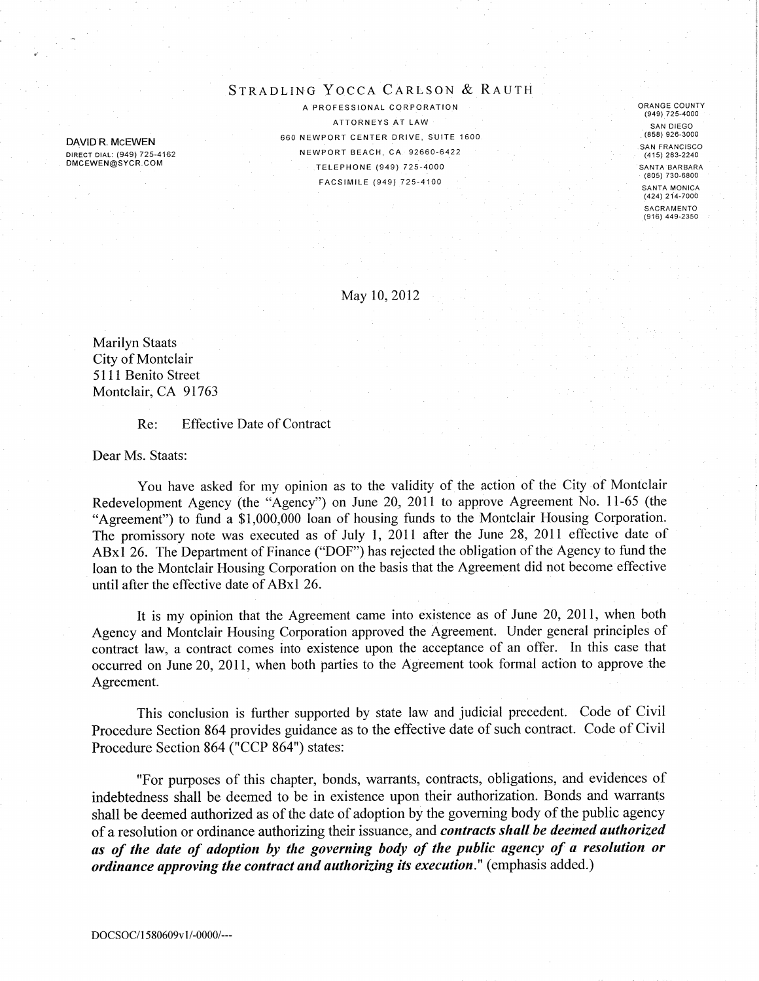### STRADLING YOCCA CARLSON & RAUTH

DAVID R. MCEWEN DIRECT DIAL: (949) 725-4162 DMCEWEN@SYCR.COM

A PROFESSIONAL CORPORATION ATTORNEYS AT LAW 660 NEWPORT CENTER DRIVE, SUITE 1600. NEWPORT BEACH, CA 92660-6422 TELEPHONE (949) 725-4000 FACSIMILE (949) 725-4100

ORANGE COUNTY (949) 725-4000 SAN DIEGO  $(858)$  926-3000 **SAN FRANCISCO** (415) 283-2240 SANTA BARBARA (805) 730-6800 SANTA MONICA (424) 214-7000 SACRAMENTO  $(916)$  449-2350

May 10, 2012

**Marilyn Staats** City of Montclair 5111 Benito Street Montclair, CA 91763

#### **Effective Date of Contract** Re:

Dear Ms. Staats:

You have asked for my opinion as to the validity of the action of the City of Montclair Redevelopment Agency (the "Agency") on June 20, 2011 to approve Agreement No. 11-65 (the "Agreement") to fund a \$1,000,000 loan of housing funds to the Montclair Housing Corporation. The promissory note was executed as of July 1, 2011 after the June 28, 2011 effective date of ABx1 26. The Department of Finance ("DOF") has rejected the obligation of the Agency to fund the loan to the Montclair Housing Corporation on the basis that the Agreement did not become effective until after the effective date of ABx1 26.

It is my opinion that the Agreement came into existence as of June 20, 2011, when both Agency and Montclair Housing Corporation approved the Agreement. Under general principles of contract law, a contract comes into existence upon the acceptance of an offer. In this case that occurred on June 20, 2011, when both parties to the Agreement took formal action to approve the Agreement.

This conclusion is further supported by state law and judicial precedent. Code of Civil Procedure Section 864 provides guidance as to the effective date of such contract. Code of Civil Procedure Section 864 ("CCP 864") states:

"For purposes of this chapter, bonds, warrants, contracts, obligations, and evidences of indebtedness shall be deemed to be in existence upon their authorization. Bonds and warrants shall be deemed authorized as of the date of adoption by the governing body of the public agency of a resolution or ordinance authorizing their issuance, and *contracts shall be deemed authorized* as of the date of adoption by the governing body of the public agency of a resolution or *ordinance approving the contract and authorizing its execution.*" (emphasis added.)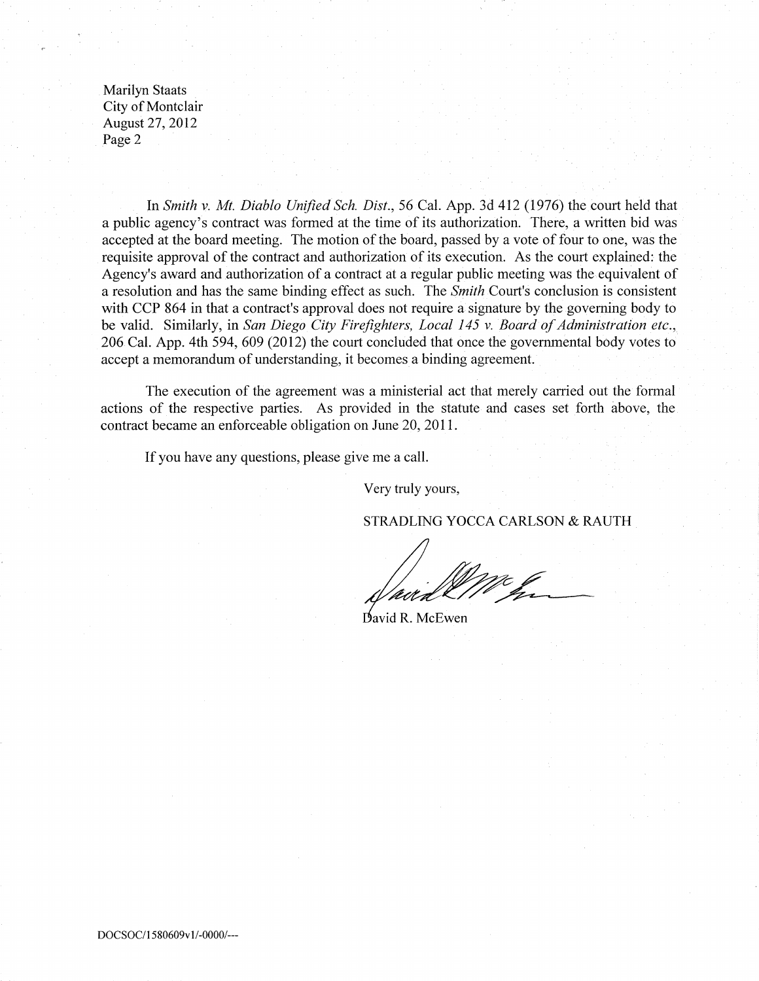**Marilyn Staats** City of Montclair August 27, 2012 Page 2

In Smith v. Mt. Diablo Unified Sch. Dist., 56 Cal. App. 3d 412 (1976) the court held that a public agency's contract was formed at the time of its authorization. There, a written bid was accepted at the board meeting. The motion of the board, passed by a vote of four to one, was the requisite approval of the contract and authorization of its execution. As the court explained: the Agency's award and authorization of a contract at a regular public meeting was the equivalent of a resolution and has the same binding effect as such. The *Smith* Court's conclusion is consistent with CCP 864 in that a contract's approval does not require a signature by the governing body to be valid. Similarly, in San Diego City Firefighters, Local 145 v. Board of Administration etc., 206 Cal. App. 4th 594, 609 (2012) the court concluded that once the governmental body votes to accept a memorandum of understanding, it becomes a binding agreement.

The execution of the agreement was a ministerial act that merely carried out the formal actions of the respective parties. As provided in the statute and cases set forth above, the contract became an enforceable obligation on June 20, 2011.

If you have any questions, please give me a call.

Very truly yours,

STRADLING YOCCA CARLSON & RAUTH

David R. McEwen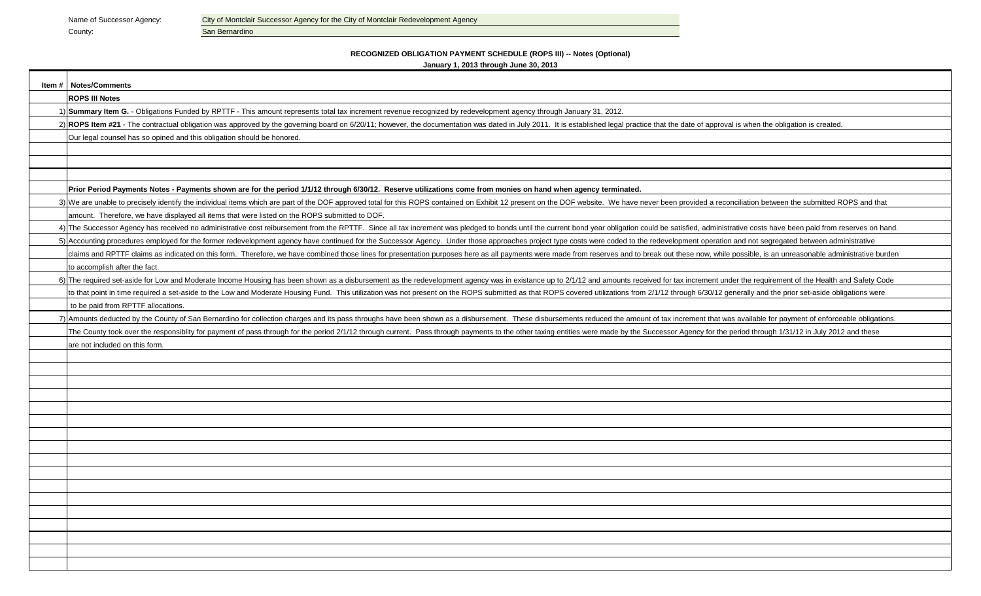County: County: San Bernardino

Name of Successor Agency: City of Montclair Successor Agency for the City of Montclair Redevelopment Agency

#### **RECOGNIZED OBLIGATION PAYMENT SCHEDULE (ROPS III) -- Notes (Optional)January 1, 2013 through June 30, 2013**

| Item # Notes/Comments                                                                                                                                                                                                          |
|--------------------------------------------------------------------------------------------------------------------------------------------------------------------------------------------------------------------------------|
| <b>ROPS III Notes</b>                                                                                                                                                                                                          |
| 1) Summary Item G. - Obligations Funded by RPTTF - This amount represents total tax increment revenue recognized by redevelopment agency through January 31, 2012.                                                             |
| 2) ROPS Item #21 - The contractual obligation was approved by the governing board on 6/20/11; however, the documentation was dated in July 2011. It is established legal practice that the date of approval is when the obliga |
| Our legal counsel has so opined and this obligation should be honored.                                                                                                                                                         |
|                                                                                                                                                                                                                                |
|                                                                                                                                                                                                                                |
|                                                                                                                                                                                                                                |
| Prior Period Payments Notes - Payments shown are for the period 1/1/12 through 6/30/12. Reserve utilizations come from monies on hand when agency terminated.                                                                  |
| 3) We are unable to precisely identify the individual items which are part of the DOF approved total for this ROPS contained on Exhibit 12 present on the DOF website. We have never been provided a reconciliation between th |
| amount. Therefore, we have displayed all items that were listed on the ROPS submitted to DOF.                                                                                                                                  |
| 4) The Successor Agency has received no administrative cost reibursement from the RPTTF. Since all tax increment was pledged to bonds until the current bond year obligation could be satisfied, administrative costs have bee |
| 5) Accounting procedures employed for the former redevelopment agency have continued for the Successor Agency. Under those approaches project type costs were coded to the redevelopment operation and not segregated between  |
| claims and RPTTF claims as indicated on this form. Therefore, we have combined those lines for presentation purposes here as all payments were made from reserves and to break out these now, while possible, is an unreasonab |
| to accomplish after the fact.                                                                                                                                                                                                  |
| 6) The required set-aside for Low and Moderate Income Housing has been shown as a disbursement as the redevelopment agency was in existance up to 2/1/12 and amounts received for tax increment under the requirement of the H |
| to that point in time required a set-aside to the Low and Moderate Housing Fund. This utilization was not present on the ROPS submitted as that ROPS covered utilizations from 2/1/12 through 6/30/12 generally and the prior  |
| to be paid from RPTTF allocations.                                                                                                                                                                                             |
| 7) Amounts deducted by the County of San Bernardino for collection charges and its pass throughs have been shown as a disbursement. These disbursements reduced the amount of tax increment that was available for payment of  |
| The County took over the responsibility for payment of pass through for the period 2/1/12 through current. Pass through payments to the other taxing entities were made by the Successor Agency for the period through 1/31/12 |
| are not included on this form.                                                                                                                                                                                                 |
|                                                                                                                                                                                                                                |
|                                                                                                                                                                                                                                |
|                                                                                                                                                                                                                                |
|                                                                                                                                                                                                                                |
|                                                                                                                                                                                                                                |
|                                                                                                                                                                                                                                |
|                                                                                                                                                                                                                                |
|                                                                                                                                                                                                                                |
|                                                                                                                                                                                                                                |
|                                                                                                                                                                                                                                |
|                                                                                                                                                                                                                                |
|                                                                                                                                                                                                                                |
|                                                                                                                                                                                                                                |
|                                                                                                                                                                                                                                |
|                                                                                                                                                                                                                                |
|                                                                                                                                                                                                                                |